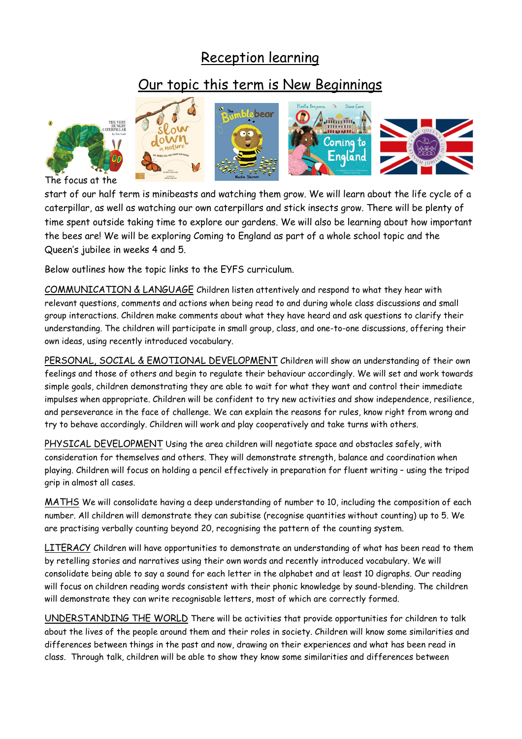## Reception learning

## Our topic this term is New Beginnings



The focus at the

start of our half term is minibeasts and watching them grow. We will learn about the life cycle of a caterpillar, as well as watching our own caterpillars and stick insects grow. There will be plenty of time spent outside taking time to explore our gardens. We will also be learning about how important the bees are! We will be exploring Coming to England as part of a whole school topic and the Queen's jubilee in weeks 4 and 5.

Below outlines how the topic links to the EYFS curriculum.

COMMUNICATION & LANGUAGE Children listen attentively and respond to what they hear with relevant questions, comments and actions when being read to and during whole class discussions and small group interactions. Children make comments about what they have heard and ask questions to clarify their understanding. The children will participate in small group, class, and one-to-one discussions, offering their own ideas, using recently introduced vocabulary.

PERSONAL, SOCIAL & EMOTIONAL DEVELOPMENT Children will show an understanding of their own feelings and those of others and begin to regulate their behaviour accordingly. We will set and work towards simple goals, children demonstrating they are able to wait for what they want and control their immediate impulses when appropriate. Children will be confident to try new activities and show independence, resilience, and perseverance in the face of challenge. We can explain the reasons for rules, know right from wrong and try to behave accordingly. Children will work and play cooperatively and take turns with others.

PHYSICAL DEVELOPMENT Using the area children will negotiate space and obstacles safely, with consideration for themselves and others. They will demonstrate strength, balance and coordination when playing. Children will focus on holding a pencil effectively in preparation for fluent writing – using the tripod grip in almost all cases.

MATHS We will consolidate having a deep understanding of number to 10, including the composition of each number. All children will demonstrate they can subitise (recognise quantities without counting) up to 5. We are practising verbally counting beyond 20, recognising the pattern of the counting system.

LITERACY Children will have opportunities to demonstrate an understanding of what has been read to them by retelling stories and narratives using their own words and recently introduced vocabulary. We will consolidate being able to say a sound for each letter in the alphabet and at least 10 digraphs. Our reading will focus on children reading words consistent with their phonic knowledge by sound-blending. The children will demonstrate they can write recognisable letters, most of which are correctly formed.

UNDERSTANDING THE WORLD There will be activities that provide opportunities for children to talk about the lives of the people around them and their roles in society. Children will know some similarities and differences between things in the past and now, drawing on their experiences and what has been read in class. Through talk, children will be able to show they know some similarities and differences between